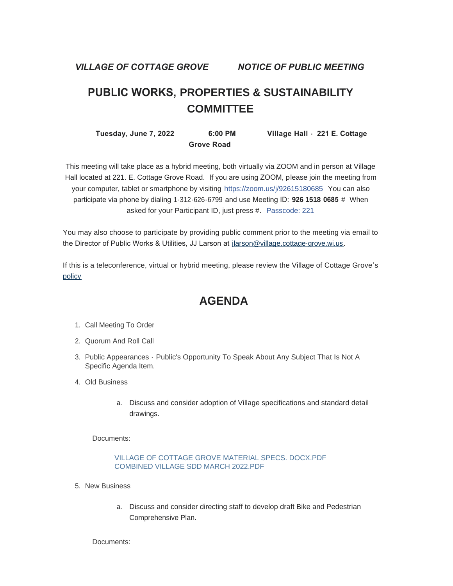*VILLAGE OF COTTAGE GROVE NOTICE OF PUBLIC MEETING*

# **PUBLIC WORKS, PROPERTIES & SUSTAINABILITY COMMITTEE**

 **Tuesday, June 7, 2022 6:00 PM Village Hall - 221 E. Cottage Grove Road** 

This meeting will take place as a hybrid meeting, both virtually via ZOOM and in person at Village Hall located at 221. E. Cottage Grove Road. If you are using ZOOM, please join the meeting from your computer, tablet or smartphone by visiting <https://zoom.us/j/92615180685> You can also participate via phone by dialing 1-312-626-6799 and use Meeting ID: **926 1518 0685** # When asked for your Participant ID, just press #. Passcode: 221

You may also choose to participate by providing public comment prior to the meeting via email to the Director of Public Works & Utilities, JJ Larson at [jlarson@village.cottage-grove.wi.us](mailto:jlarson@village.cottage-grove.wi.us).

[If this](https://www.vi.cottagegrove.wi.gov/DocumentCenter/View/1850/Virtual-Hybrid-Tele-meeting-Policy-Final) is a teleconference, virtual or hybrid meeting, please review the Village of Cottage Grove's policy

# **AGENDA**

- 1. Call Meeting To Order
- 2. Quorum And Roll Call
- 3. Public Appearances Public's Opportunity To Speak About Any Subject That Is Not A Specific Agenda Item.
- Old Business 4.
	- a. Discuss and consider adoption of Village specifications and standard detail drawings.

Documents:

### [VILLAGE OF COTTAGE GROVE MATERIAL SPECS. DOCX.PDF](https://www.vi.cottagegrove.wi.gov/AgendaCenter/ViewFile/Item/10197?fileID=19876) [COMBINED VILLAGE SDD MARCH 2022.PDF](https://www.vi.cottagegrove.wi.gov/AgendaCenter/ViewFile/Item/10197?fileID=19877)

- 5. New Business
	- a. Discuss and consider directing staff to develop draft Bike and Pedestrian Comprehensive Plan.

Documents: